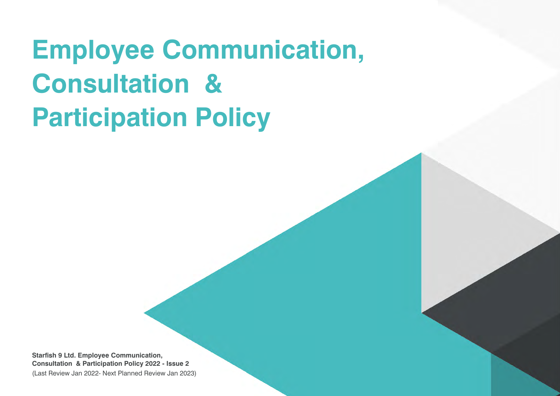# **Employee Communication, Consultation & Participation Policy**

**Starfish 9 Ltd. Employee Communication, Consultation & Participation Policy 2022 - Issue 2** (Last Review Jan 2022- Next Planned Review Jan 2023)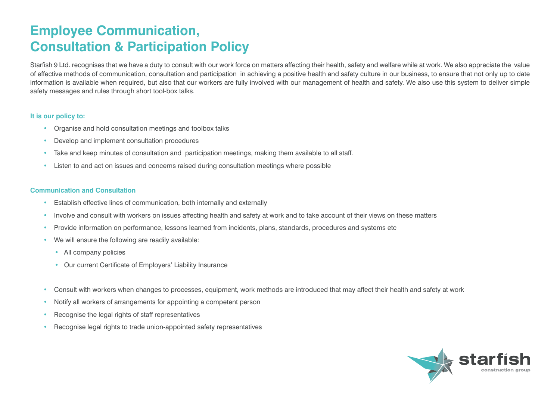## **Employee Communication, Consultation & Participation Policy**

Starfish 9 Ltd. recognises that we have a duty to consult with our work force on matters affecting their health, safety and welfare while at work. We also appreciate the value of effective methods of communication, consultation and participation in achieving a positive health and safety culture in our business, to ensure that not only up to date information is available when required, but also that our workers are fully involved with our management of health and safety. We also use this system to deliver simple safety messages and rules through short tool-box talks.

### **It is our policy to:**

- Organise and hold consultation meetings and toolbox talks
- Develop and implement consultation procedures
- Take and keep minutes of consultation and participation meetings, making them available to all staff.
- Listen to and act on issues and concerns raised during consultation meetings where possible

#### **Communication and Consultation**

- Establish effective lines of communication, both internally and externally
- Involve and consult with workers on issues affecting health and safety at work and to take account of their views on these matters
- Provide information on performance, lessons learned from incidents, plans, standards, procedures and systems etc
- We will ensure the following are readily available:
	- All company policies
	- Our current Certificate of Employers' Liability Insurance
- Consult with workers when changes to processes, equipment, work methods are introduced that may affect their health and safety at work
- Notify all workers of arrangements for appointing a competent person
- Recognise the legal rights of staff representatives
- Recognise legal rights to trade union-appointed safety representatives